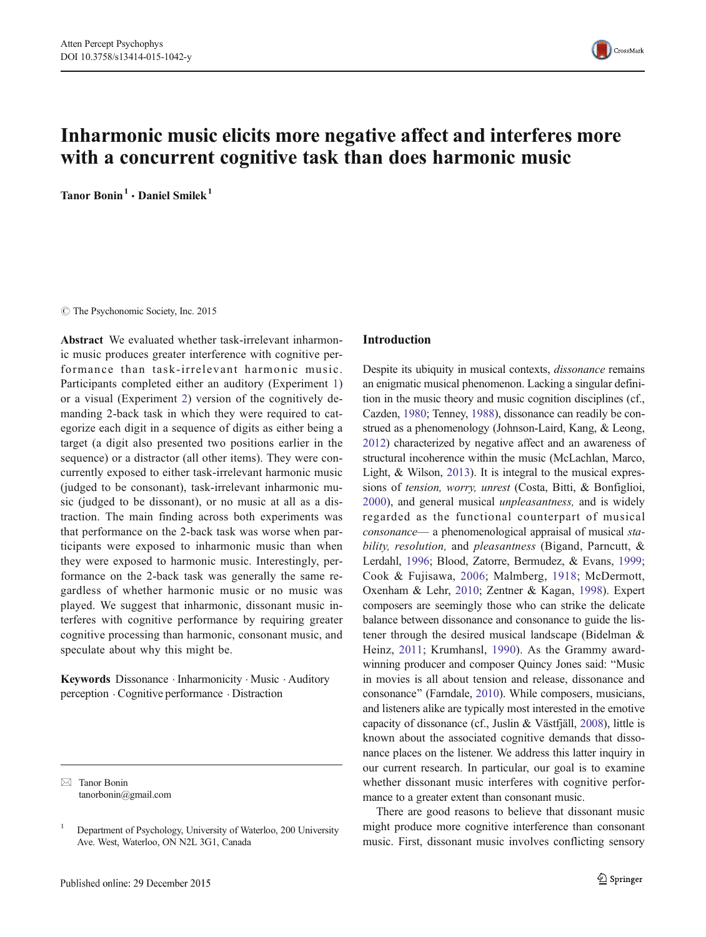

# Inharmonic music elicits more negative affect and interferes more with a concurrent cognitive task than does harmonic music

Tanor Bonin<sup>1</sup> . Daniel Smilek<sup>1</sup>

© The Psychonomic Society, Inc. 2015

Abstract We evaluated whether task-irrelevant inharmonic music produces greater interference with cognitive performance than task-irrelevant harmonic music. Participants completed either an auditory (Experiment [1\)](#page-3-0) or a visual (Experiment [2](#page-7-0)) version of the cognitively demanding 2-back task in which they were required to categorize each digit in a sequence of digits as either being a target (a digit also presented two positions earlier in the sequence) or a distractor (all other items). They were concurrently exposed to either task-irrelevant harmonic music (judged to be consonant), task-irrelevant inharmonic music (judged to be dissonant), or no music at all as a distraction. The main finding across both experiments was that performance on the 2-back task was worse when participants were exposed to inharmonic music than when they were exposed to harmonic music. Interestingly, performance on the 2-back task was generally the same regardless of whether harmonic music or no music was played. We suggest that inharmonic, dissonant music interferes with cognitive performance by requiring greater cognitive processing than harmonic, consonant music, and speculate about why this might be.

Keywords Dissonance . Inharmonicity . Music . Auditory perception . Cognitive performance . Distraction

## Introduction

Despite its ubiquity in musical contexts, dissonance remains an enigmatic musical phenomenon. Lacking a singular definition in the music theory and music cognition disciplines (cf., Cazden, [1980;](#page-12-0) Tenney, [1988](#page-13-0)), dissonance can readily be construed as a phenomenology (Johnson-Laird, Kang, & Leong, [2012\)](#page-13-0) characterized by negative affect and an awareness of structural incoherence within the music (McLachlan, Marco, Light, & Wilson, [2013\)](#page-13-0). It is integral to the musical expressions of tension, worry, unrest (Costa, Bitti, & Bonfiglioi, [2000](#page-12-0)), and general musical unpleasantness, and is widely regarded as the functional counterpart of musical consonance— a phenomenological appraisal of musical stability, resolution, and pleasantness (Bigand, Parncutt, & Lerdahl, [1996](#page-12-0); Blood, Zatorre, Bermudez, & Evans, [1999;](#page-12-0) Cook & Fujisawa, [2006](#page-12-0); Malmberg, [1918;](#page-13-0) McDermott, Oxenham & Lehr, [2010](#page-13-0); Zentner & Kagan, [1998\)](#page-13-0). Expert composers are seemingly those who can strike the delicate balance between dissonance and consonance to guide the listener through the desired musical landscape (Bidelman & Heinz, [2011;](#page-12-0) Krumhansl, [1990](#page-13-0)). As the Grammy awardwinning producer and composer Quincy Jones said: "Music in movies is all about tension and release, dissonance and consonance" (Farndale, [2010](#page-12-0)). While composers, musicians, and listeners alike are typically most interested in the emotive capacity of dissonance (cf., Juslin & Västfjäll, [2008](#page-13-0)), little is known about the associated cognitive demands that dissonance places on the listener. We address this latter inquiry in our current research. In particular, our goal is to examine whether dissonant music interferes with cognitive performance to a greater extent than consonant music.

There are good reasons to believe that dissonant music might produce more cognitive interference than consonant music. First, dissonant music involves conflicting sensory

 $\boxtimes$  Tanor Bonin tanorbonin@gmail.com

<sup>&</sup>lt;sup>1</sup> Department of Psychology, University of Waterloo, 200 University Ave. West, Waterloo, ON N2L 3G1, Canada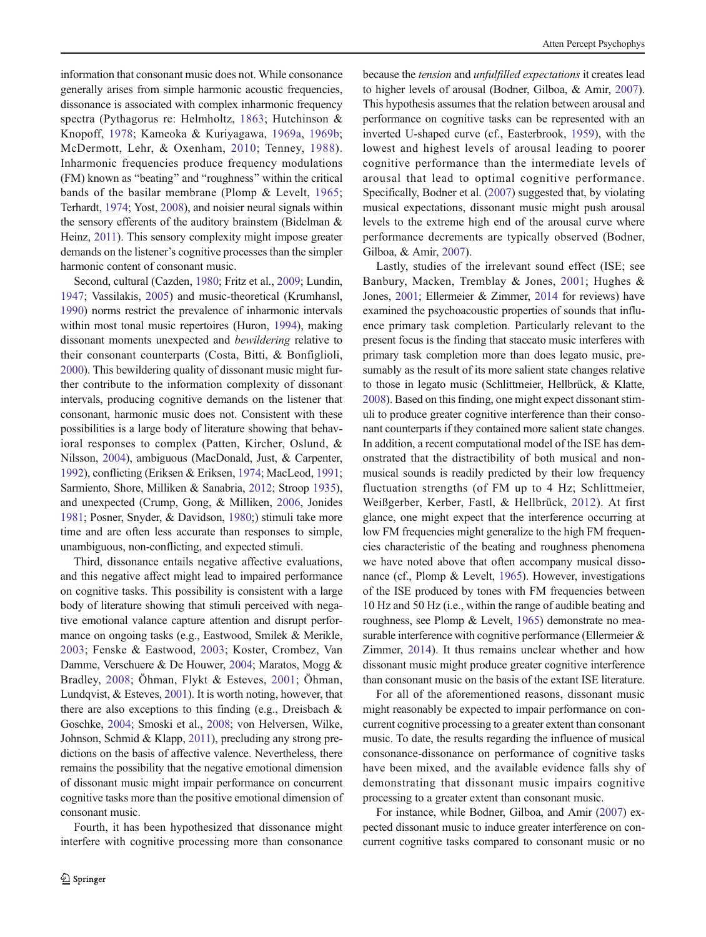information that consonant music does not. While consonance generally arises from simple harmonic acoustic frequencies, dissonance is associated with complex inharmonic frequency spectra (Pythagorus re: Helmholtz, [1863](#page-12-0); Hutchinson & Knopoff, [1978](#page-12-0); Kameoka & Kuriyagawa, [1969a](#page-13-0), [1969b](#page-13-0); McDermott, Lehr, & Oxenham, [2010](#page-13-0); Tenney, [1988\)](#page-13-0). Inharmonic frequencies produce frequency modulations (FM) known as "beating" and "roughness" within the critical bands of the basilar membrane (Plomp & Levelt, [1965](#page-13-0); Terhardt, [1974;](#page-13-0) Yost, [2008](#page-13-0)), and noisier neural signals within the sensory efferents of the auditory brainstem (Bidelman & Heinz, [2011\)](#page-12-0). This sensory complexity might impose greater demands on the listener's cognitive processes than the simpler harmonic content of consonant music.

Second, cultural (Cazden, [1980](#page-12-0); Fritz et al., [2009](#page-12-0); Lundin, [1947;](#page-13-0) Vassilakis, [2005\)](#page-13-0) and music-theoretical (Krumhansl, [1990\)](#page-13-0) norms restrict the prevalence of inharmonic intervals within most tonal music repertoires (Huron, [1994\)](#page-12-0), making dissonant moments unexpected and bewildering relative to their consonant counterparts (Costa, Bitti, & Bonfiglioli, [2000\)](#page-12-0). This bewildering quality of dissonant music might further contribute to the information complexity of dissonant intervals, producing cognitive demands on the listener that consonant, harmonic music does not. Consistent with these possibilities is a large body of literature showing that behavioral responses to complex (Patten, Kircher, Oslund, & Nilsson, [2004](#page-13-0)), ambiguous (MacDonald, Just, & Carpenter, [1992\)](#page-13-0), conflicting (Eriksen & Eriksen, [1974](#page-12-0); MacLeod, [1991](#page-13-0); Sarmiento, Shore, Milliken & Sanabria, [2012;](#page-13-0) Stroop [1935\)](#page-13-0), and unexpected (Crump, Gong, & Milliken, [2006](#page-12-0), Jonides [1981;](#page-13-0) Posner, Snyder, & Davidson, [1980](#page-13-0);) stimuli take more time and are often less accurate than responses to simple, unambiguous, non-conflicting, and expected stimuli.

Third, dissonance entails negative affective evaluations, and this negative affect might lead to impaired performance on cognitive tasks. This possibility is consistent with a large body of literature showing that stimuli perceived with negative emotional valance capture attention and disrupt performance on ongoing tasks (e.g., Eastwood, Smilek & Merikle, [2003](#page-12-0); Fenske & Eastwood, [2003;](#page-12-0) Koster, Crombez, Van Damme, Verschuere & De Houwer, [2004;](#page-13-0) Maratos, Mogg & Bradley, [2008](#page-13-0); Öhman, Flykt & Esteves, [2001;](#page-13-0) Öhman, Lundqvist, & Esteves, [2001](#page-13-0)). It is worth noting, however, that there are also exceptions to this finding (e.g., Dreisbach & Goschke, [2004](#page-12-0); Smoski et al., [2008](#page-13-0); von Helversen, Wilke, Johnson, Schmid & Klapp, [2011](#page-13-0)), precluding any strong predictions on the basis of affective valence. Nevertheless, there remains the possibility that the negative emotional dimension of dissonant music might impair performance on concurrent cognitive tasks more than the positive emotional dimension of consonant music.

Fourth, it has been hypothesized that dissonance might interfere with cognitive processing more than consonance

because the tension and unfulfilled expectations it creates lead to higher levels of arousal (Bodner, Gilboa, & Amir, [2007\)](#page-12-0). This hypothesis assumes that the relation between arousal and performance on cognitive tasks can be represented with an inverted U-shaped curve (cf., Easterbrook, [1959\)](#page-12-0), with the lowest and highest levels of arousal leading to poorer cognitive performance than the intermediate levels of arousal that lead to optimal cognitive performance. Specifically, Bodner et al. [\(2007\)](#page-12-0) suggested that, by violating musical expectations, dissonant music might push arousal levels to the extreme high end of the arousal curve where performance decrements are typically observed (Bodner, Gilboa, & Amir, [2007\)](#page-12-0).

Lastly, studies of the irrelevant sound effect (ISE; see Banbury, Macken, Tremblay & Jones, [2001](#page-12-0); Hughes & Jones, [2001](#page-12-0); Ellermeier & Zimmer, [2014](#page-12-0) for reviews) have examined the psychoacoustic properties of sounds that influence primary task completion. Particularly relevant to the present focus is the finding that staccato music interferes with primary task completion more than does legato music, presumably as the result of its more salient state changes relative to those in legato music (Schlittmeier, Hellbrück, & Klatte, [2008\)](#page-13-0). Based on this finding, one might expect dissonant stimuli to produce greater cognitive interference than their consonant counterparts if they contained more salient state changes. In addition, a recent computational model of the ISE has demonstrated that the distractibility of both musical and nonmusical sounds is readily predicted by their low frequency fluctuation strengths (of FM up to 4 Hz; Schlittmeier, Weißgerber, Kerber, Fastl, & Hellbrück, [2012](#page-13-0)). At first glance, one might expect that the interference occurring at low FM frequencies might generalize to the high FM frequencies characteristic of the beating and roughness phenomena we have noted above that often accompany musical dissonance (cf., Plomp & Levelt, [1965\)](#page-13-0). However, investigations of the ISE produced by tones with FM frequencies between 10 Hz and 50 Hz (i.e., within the range of audible beating and roughness, see Plomp & Levelt, [1965](#page-13-0)) demonstrate no measurable interference with cognitive performance (Ellermeier & Zimmer, [2014](#page-12-0)). It thus remains unclear whether and how dissonant music might produce greater cognitive interference than consonant music on the basis of the extant ISE literature.

For all of the aforementioned reasons, dissonant music might reasonably be expected to impair performance on concurrent cognitive processing to a greater extent than consonant music. To date, the results regarding the influence of musical consonance-dissonance on performance of cognitive tasks have been mixed, and the available evidence falls shy of demonstrating that dissonant music impairs cognitive processing to a greater extent than consonant music.

For instance, while Bodner, Gilboa, and Amir ([2007](#page-12-0)) expected dissonant music to induce greater interference on concurrent cognitive tasks compared to consonant music or no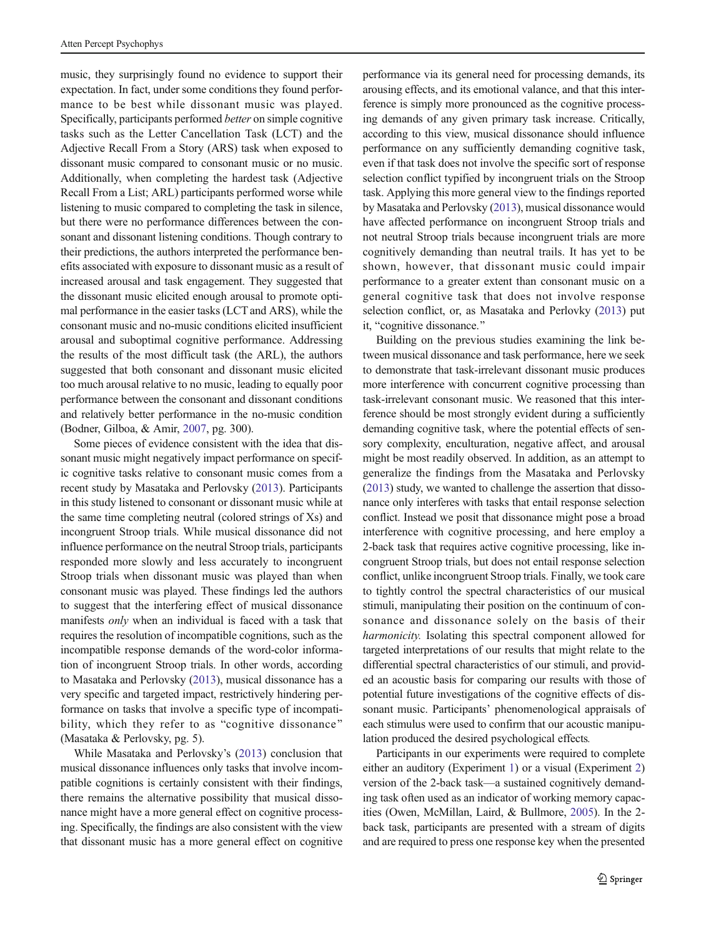music, they surprisingly found no evidence to support their expectation. In fact, under some conditions they found performance to be best while dissonant music was played. Specifically, participants performed better on simple cognitive tasks such as the Letter Cancellation Task (LCT) and the Adjective Recall From a Story (ARS) task when exposed to dissonant music compared to consonant music or no music. Additionally, when completing the hardest task (Adjective Recall From a List; ARL) participants performed worse while listening to music compared to completing the task in silence, but there were no performance differences between the consonant and dissonant listening conditions. Though contrary to their predictions, the authors interpreted the performance benefits associated with exposure to dissonant music as a result of increased arousal and task engagement. They suggested that the dissonant music elicited enough arousal to promote optimal performance in the easier tasks (LCT and ARS), while the consonant music and no-music conditions elicited insufficient arousal and suboptimal cognitive performance. Addressing the results of the most difficult task (the ARL), the authors suggested that both consonant and dissonant music elicited too much arousal relative to no music, leading to equally poor performance between the consonant and dissonant conditions and relatively better performance in the no-music condition (Bodner, Gilboa, & Amir, [2007,](#page-12-0) pg. 300).

Some pieces of evidence consistent with the idea that dissonant music might negatively impact performance on specific cognitive tasks relative to consonant music comes from a recent study by Masataka and Perlovsky ([2013](#page-13-0)). Participants in this study listened to consonant or dissonant music while at the same time completing neutral (colored strings of Xs) and incongruent Stroop trials. While musical dissonance did not influence performance on the neutral Stroop trials, participants responded more slowly and less accurately to incongruent Stroop trials when dissonant music was played than when consonant music was played. These findings led the authors to suggest that the interfering effect of musical dissonance manifests only when an individual is faced with a task that requires the resolution of incompatible cognitions, such as the incompatible response demands of the word-color information of incongruent Stroop trials. In other words, according to Masataka and Perlovsky ([2013](#page-13-0)), musical dissonance has a very specific and targeted impact, restrictively hindering performance on tasks that involve a specific type of incompatibility, which they refer to as "cognitive dissonance" (Masataka & Perlovsky, pg. 5).

While Masataka and Perlovsky's ([2013](#page-13-0)) conclusion that musical dissonance influences only tasks that involve incompatible cognitions is certainly consistent with their findings, there remains the alternative possibility that musical dissonance might have a more general effect on cognitive processing. Specifically, the findings are also consistent with the view that dissonant music has a more general effect on cognitive

performance via its general need for processing demands, its arousing effects, and its emotional valance, and that this interference is simply more pronounced as the cognitive processing demands of any given primary task increase. Critically, according to this view, musical dissonance should influence performance on any sufficiently demanding cognitive task, even if that task does not involve the specific sort of response selection conflict typified by incongruent trials on the Stroop task. Applying this more general view to the findings reported by Masataka and Perlovsky ([2013](#page-13-0)), musical dissonance would have affected performance on incongruent Stroop trials and not neutral Stroop trials because incongruent trials are more cognitively demanding than neutral trails. It has yet to be shown, however, that dissonant music could impair performance to a greater extent than consonant music on a general cognitive task that does not involve response selection conflict, or, as Masataka and Perlovky [\(2013\)](#page-13-0) put it, "cognitive dissonance."

Building on the previous studies examining the link between musical dissonance and task performance, here we seek to demonstrate that task-irrelevant dissonant music produces more interference with concurrent cognitive processing than task-irrelevant consonant music. We reasoned that this interference should be most strongly evident during a sufficiently demanding cognitive task, where the potential effects of sensory complexity, enculturation, negative affect, and arousal might be most readily observed. In addition, as an attempt to generalize the findings from the Masataka and Perlovsky [\(2013\)](#page-13-0) study, we wanted to challenge the assertion that dissonance only interferes with tasks that entail response selection conflict. Instead we posit that dissonance might pose a broad interference with cognitive processing, and here employ a 2-back task that requires active cognitive processing, like incongruent Stroop trials, but does not entail response selection conflict, unlike incongruent Stroop trials. Finally, we took care to tightly control the spectral characteristics of our musical stimuli, manipulating their position on the continuum of consonance and dissonance solely on the basis of their harmonicity. Isolating this spectral component allowed for targeted interpretations of our results that might relate to the differential spectral characteristics of our stimuli, and provided an acoustic basis for comparing our results with those of potential future investigations of the cognitive effects of dissonant music. Participants' phenomenological appraisals of each stimulus were used to confirm that our acoustic manipulation produced the desired psychological effects.

Participants in our experiments were required to complete either an auditory (Experiment [1](#page-3-0)) or a visual (Experiment [2](#page-7-0)) version of the 2-back task—a sustained cognitively demanding task often used as an indicator of working memory capacities (Owen, McMillan, Laird, & Bullmore, [2005\)](#page-13-0). In the 2 back task, participants are presented with a stream of digits and are required to press one response key when the presented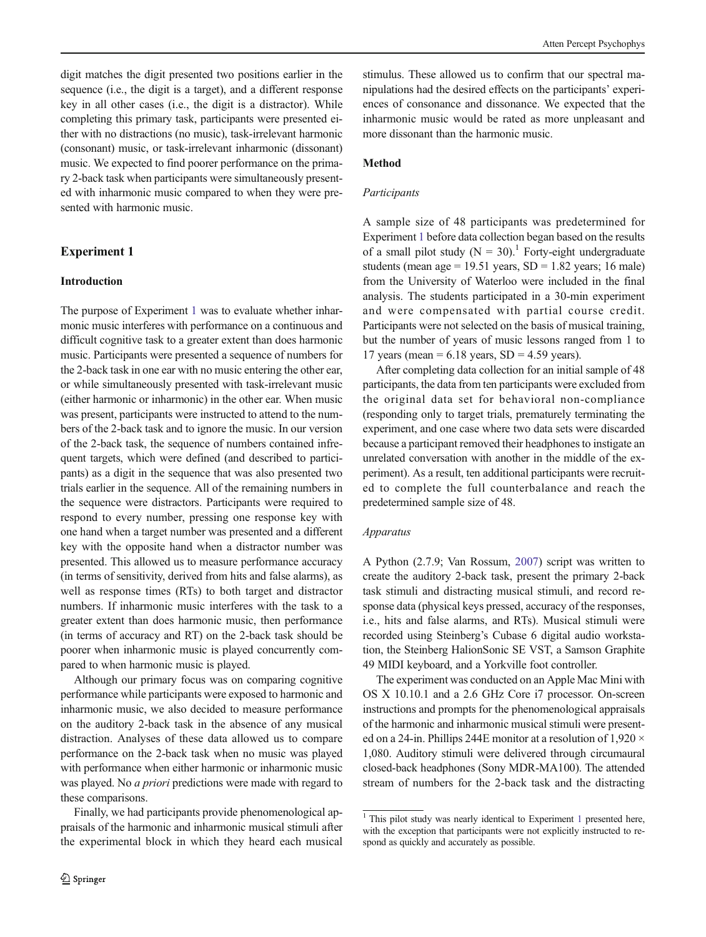<span id="page-3-0"></span>digit matches the digit presented two positions earlier in the sequence (i.e., the digit is a target), and a different response key in all other cases (i.e., the digit is a distractor). While completing this primary task, participants were presented either with no distractions (no music), task-irrelevant harmonic (consonant) music, or task-irrelevant inharmonic (dissonant) music. We expected to find poorer performance on the primary 2-back task when participants were simultaneously presented with inharmonic music compared to when they were presented with harmonic music.

# Experiment 1

# Introduction

The purpose of Experiment 1 was to evaluate whether inharmonic music interferes with performance on a continuous and difficult cognitive task to a greater extent than does harmonic music. Participants were presented a sequence of numbers for the 2-back task in one ear with no music entering the other ear, or while simultaneously presented with task-irrelevant music (either harmonic or inharmonic) in the other ear. When music was present, participants were instructed to attend to the numbers of the 2-back task and to ignore the music. In our version of the 2-back task, the sequence of numbers contained infrequent targets, which were defined (and described to participants) as a digit in the sequence that was also presented two trials earlier in the sequence. All of the remaining numbers in the sequence were distractors. Participants were required to respond to every number, pressing one response key with one hand when a target number was presented and a different key with the opposite hand when a distractor number was presented. This allowed us to measure performance accuracy (in terms of sensitivity, derived from hits and false alarms), as well as response times (RTs) to both target and distractor numbers. If inharmonic music interferes with the task to a greater extent than does harmonic music, then performance (in terms of accuracy and RT) on the 2-back task should be poorer when inharmonic music is played concurrently compared to when harmonic music is played.

Although our primary focus was on comparing cognitive performance while participants were exposed to harmonic and inharmonic music, we also decided to measure performance on the auditory 2-back task in the absence of any musical distraction. Analyses of these data allowed us to compare performance on the 2-back task when no music was played with performance when either harmonic or inharmonic music was played. No *a priori* predictions were made with regard to these comparisons.

Finally, we had participants provide phenomenological appraisals of the harmonic and inharmonic musical stimuli after the experimental block in which they heard each musical

stimulus. These allowed us to confirm that our spectral manipulations had the desired effects on the participants' experiences of consonance and dissonance. We expected that the inharmonic music would be rated as more unpleasant and more dissonant than the harmonic music.

# Method

#### Participants

A sample size of 48 participants was predetermined for Experiment 1 before data collection began based on the results of a small pilot study ( $N = 30$ ).<sup>1</sup> Forty-eight undergraduate students (mean age = 19.51 years,  $SD = 1.82$  years; 16 male) from the University of Waterloo were included in the final analysis. The students participated in a 30-min experiment and were compensated with partial course credit. Participants were not selected on the basis of musical training, but the number of years of music lessons ranged from 1 to 17 years (mean  $= 6.18$  years, SD  $= 4.59$  years).

After completing data collection for an initial sample of 48 participants, the data from ten participants were excluded from the original data set for behavioral non-compliance (responding only to target trials, prematurely terminating the experiment, and one case where two data sets were discarded because a participant removed their headphones to instigate an unrelated conversation with another in the middle of the experiment). As a result, ten additional participants were recruited to complete the full counterbalance and reach the predetermined sample size of 48.

#### Apparatus

A Python (2.7.9; Van Rossum, [2007](#page-13-0)) script was written to create the auditory 2-back task, present the primary 2-back task stimuli and distracting musical stimuli, and record response data (physical keys pressed, accuracy of the responses, i.e., hits and false alarms, and RTs). Musical stimuli were recorded using Steinberg's Cubase 6 digital audio workstation, the Steinberg HalionSonic SE VST, a Samson Graphite 49 MIDI keyboard, and a Yorkville foot controller.

The experiment was conducted on an Apple Mac Mini with OS X 10.10.1 and a 2.6 GHz Core i7 processor. On-screen instructions and prompts for the phenomenological appraisals of the harmonic and inharmonic musical stimuli were presented on a 24-in. Phillips 244E monitor at a resolution of  $1,920 \times$ 1,080. Auditory stimuli were delivered through circumaural closed-back headphones (Sony MDR-MA100). The attended stream of numbers for the 2-back task and the distracting

 $\frac{1}{1}$ This pilot study was nearly identical to Experiment 1 presented here, with the exception that participants were not explicitly instructed to respond as quickly and accurately as possible.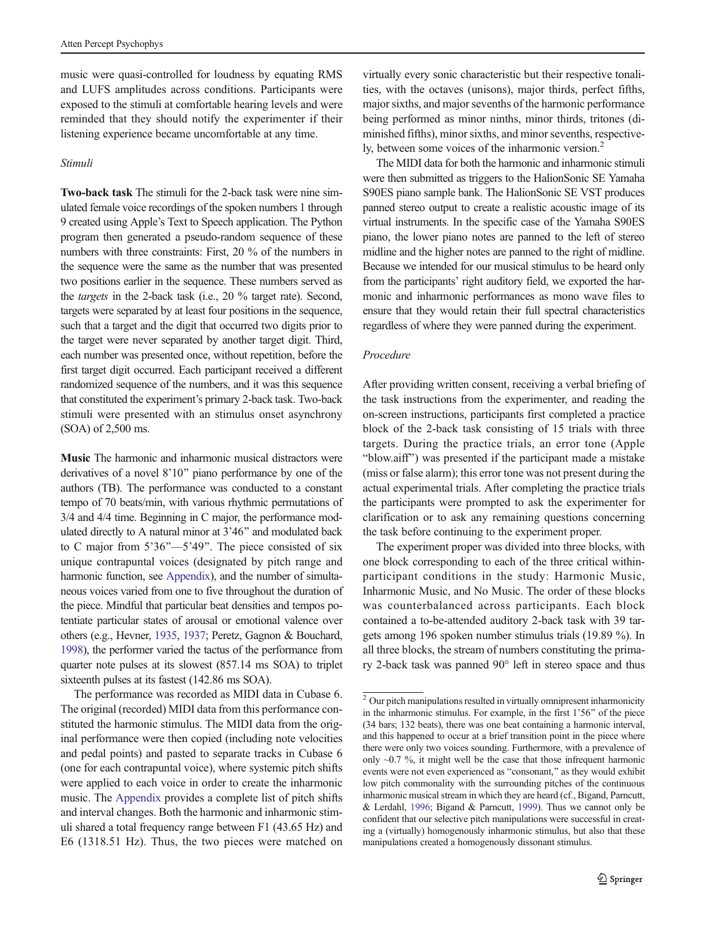music were quasi-controlled for loudness by equating RMS and LUFS amplitudes across conditions. Participants were exposed to the stimuli at comfortable hearing levels and were reminded that they should notify the experimenter if their listening experience became uncomfortable at any time.

# Stimuli

Two-back task The stimuli for the 2-back task were nine simulated female voice recordings of the spoken numbers 1 through 9 created using Apple's Text to Speech application. The Python program then generated a pseudo-random sequence of these numbers with three constraints: First, 20 % of the numbers in the sequence were the same as the number that was presented two positions earlier in the sequence. These numbers served as the targets in the 2-back task (i.e., 20 % target rate). Second, targets were separated by at least four positions in the sequence, such that a target and the digit that occurred two digits prior to the target were never separated by another target digit. Third, each number was presented once, without repetition, before the first target digit occurred. Each participant received a different randomized sequence of the numbers, and it was this sequence that constituted the experiment's primary 2-back task. Two-back stimuli were presented with an stimulus onset asynchrony (SOA) of 2,500 ms.

Music The harmonic and inharmonic musical distractors were derivatives of a novel 8'10" piano performance by one of the authors (TB). The performance was conducted to a constant tempo of 70 beats/min, with various rhythmic permutations of 3/4 and 4/4 time. Beginning in C major, the performance modulated directly to A natural minor at 3'46" and modulated back to C major from  $5^{\circ}36^{\circ}$ —5'49". The piece consisted of six unique contrapuntal voices (designated by pitch range and harmonic function, see [Appendix](#page-12-0)), and the number of simultaneous voices varied from one to five throughout the duration of the piece. Mindful that particular beat densities and tempos potentiate particular states of arousal or emotional valence over others (e.g., Hevner, [1935](#page-12-0), [1937](#page-12-0); Peretz, Gagnon & Bouchard, [1998](#page-13-0)), the performer varied the tactus of the performance from quarter note pulses at its slowest (857.14 ms SOA) to triplet sixteenth pulses at its fastest (142.86 ms SOA).

The performance was recorded as MIDI data in Cubase 6. The original (recorded) MIDI data from this performance constituted the harmonic stimulus. The MIDI data from the original performance were then copied (including note velocities and pedal points) and pasted to separate tracks in Cubase 6 (one for each contrapuntal voice), where systemic pitch shifts were applied to each voice in order to create the inharmonic music. The [Appendix](#page-12-0) provides a complete list of pitch shifts and interval changes. Both the harmonic and inharmonic stimuli shared a total frequency range between F1 (43.65 Hz) and E6 (1318.51 Hz). Thus, the two pieces were matched on

virtually every sonic characteristic but their respective tonalities, with the octaves (unisons), major thirds, perfect fifths, major sixths, and major sevenths of the harmonic performance being performed as minor ninths, minor thirds, tritones (diminished fifths), minor sixths, and minor sevenths, respectively, between some voices of the inharmonic version.<sup>2</sup>

The MIDI data for both the harmonic and inharmonic stimuli were then submitted as triggers to the HalionSonic SE Yamaha S90ES piano sample bank. The HalionSonic SE VST produces panned stereo output to create a realistic acoustic image of its virtual instruments. In the specific case of the Yamaha S90ES piano, the lower piano notes are panned to the left of stereo midline and the higher notes are panned to the right of midline. Because we intended for our musical stimulus to be heard only from the participants' right auditory field, we exported the harmonic and inharmonic performances as mono wave files to ensure that they would retain their full spectral characteristics regardless of where they were panned during the experiment.

## Procedure

After providing written consent, receiving a verbal briefing of the task instructions from the experimenter, and reading the on-screen instructions, participants first completed a practice block of the 2-back task consisting of 15 trials with three targets. During the practice trials, an error tone (Apple "blow.aiff") was presented if the participant made a mistake (miss or false alarm); this error tone was not present during the actual experimental trials. After completing the practice trials the participants were prompted to ask the experimenter for clarification or to ask any remaining questions concerning the task before continuing to the experiment proper.

The experiment proper was divided into three blocks, with one block corresponding to each of the three critical withinparticipant conditions in the study: Harmonic Music, Inharmonic Music, and No Music. The order of these blocks was counterbalanced across participants. Each block contained a to-be-attended auditory 2-back task with 39 targets among 196 spoken number stimulus trials (19.89 %). In all three blocks, the stream of numbers constituting the primary 2-back task was panned 90° left in stereo space and thus

 $2$  Our pitch manipulations resulted in virtually omnipresent inharmonicity in the inharmonic stimulus. For example, in the first 1'56^ of the piece (34 bars; 132 beats), there was one beat containing a harmonic interval, and this happened to occur at a brief transition point in the piece where there were only two voices sounding. Furthermore, with a prevalence of only  $\sim$ 0.7 %, it might well be the case that those infrequent harmonic events were not even experienced as "consonant," as they would exhibit low pitch commonality with the surrounding pitches of the continuous inharmonic musical stream in which they are heard (cf., Bigand, Parncutt, & Lerdahl, [1996;](#page-12-0) Bigand & Parncutt, [1999](#page-12-0)). Thus we cannot only be confident that our selective pitch manipulations were successful in creating a (virtually) homogenously inharmonic stimulus, but also that these manipulations created a homogenously dissonant stimulus.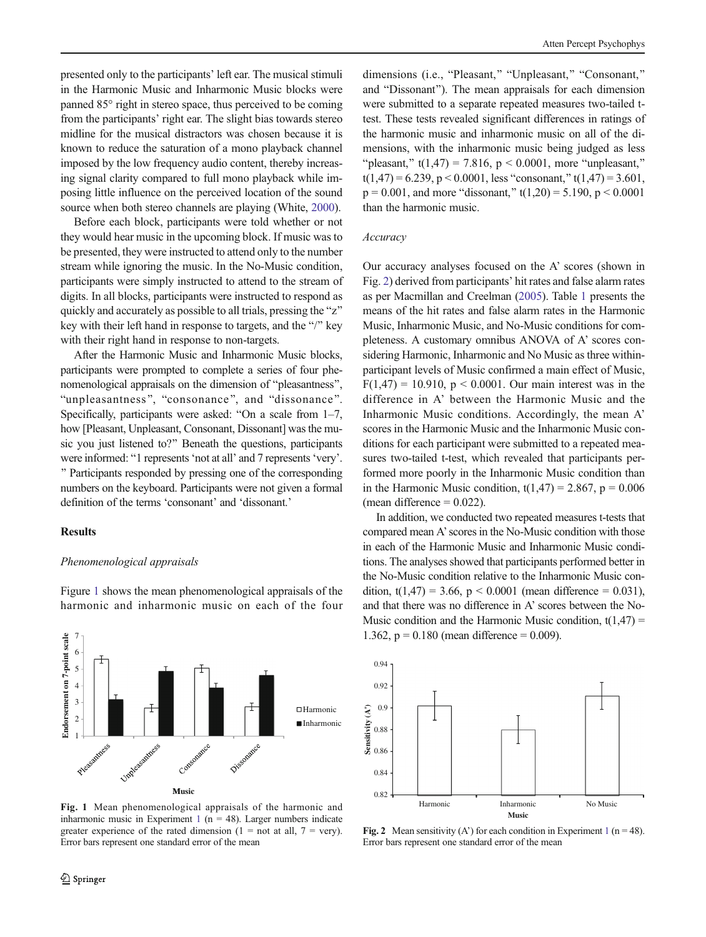presented only to the participants' left ear. The musical stimuli in the Harmonic Music and Inharmonic Music blocks were panned 85° right in stereo space, thus perceived to be coming from the participants' right ear. The slight bias towards stereo midline for the musical distractors was chosen because it is known to reduce the saturation of a mono playback channel imposed by the low frequency audio content, thereby increasing signal clarity compared to full mono playback while imposing little influence on the perceived location of the sound source when both stereo channels are playing (White, [2000](#page-13-0)).

Before each block, participants were told whether or not they would hear music in the upcoming block. If music was to be presented, they were instructed to attend only to the number stream while ignoring the music. In the No-Music condition, participants were simply instructed to attend to the stream of digits. In all blocks, participants were instructed to respond as quickly and accurately as possible to all trials, pressing the " $z$ " key with their left hand in response to targets, and the "/" key with their right hand in response to non-targets.

After the Harmonic Music and Inharmonic Music blocks, participants were prompted to complete a series of four phenomenological appraisals on the dimension of "pleasantness", "unpleasantness", "consonance", and "dissonance". Specifically, participants were asked: "On a scale from  $1-7$ , how [Pleasant, Unpleasant, Consonant, Dissonant] was the music you just listened to?" Beneath the questions, participants were informed: "1 represents 'not at all' and 7 represents 'very'. ^ Participants responded by pressing one of the corresponding numbers on the keyboard. Participants were not given a formal definition of the terms 'consonant' and 'dissonant.'

## **Results**

7

## Phenomenological appraisals

Figure 1 shows the mean phenomenological appraisals of the harmonic and inharmonic music on each of the four



Fig. 1 Mean phenomenological appraisals of the harmonic and inharmonic music in Experiment [1](#page-3-0) ( $n = 48$ ). Larger numbers indicate greater experience of the rated dimension (1 = not at all, 7 = very). Error bars represent one standard error of the mean

dimensions (i.e., "Pleasant," "Unpleasant," "Consonant," and "Dissonant"). The mean appraisals for each dimension were submitted to a separate repeated measures two-tailed ttest. These tests revealed significant differences in ratings of the harmonic music and inharmonic music on all of the dimensions, with the inharmonic music being judged as less "pleasant," t(1,47) = 7.816, p < 0.0001, more "unpleasant,"  $t(1,47) = 6.239$ , p < 0.0001, less "consonant,"  $t(1,47) = 3.601$ ,  $p = 0.001$ , and more "dissonant,"  $t(1,20) = 5.190$ ,  $p < 0.0001$ than the harmonic music.

## Accuracy

Our accuracy analyses focused on the A' scores (shown in Fig. 2) derived from participants' hit rates and false alarm rates as per Macmillan and Creelman ([2005](#page-13-0)). Table [1](#page-6-0) presents the means of the hit rates and false alarm rates in the Harmonic Music, Inharmonic Music, and No-Music conditions for completeness. A customary omnibus ANOVA of A' scores considering Harmonic, Inharmonic and No Music as three withinparticipant levels of Music confirmed a main effect of Music,  $F(1,47) = 10.910$ ,  $p < 0.0001$ . Our main interest was in the difference in A' between the Harmonic Music and the Inharmonic Music conditions. Accordingly, the mean A' scores in the Harmonic Music and the Inharmonic Music conditions for each participant were submitted to a repeated measures two-tailed t-test, which revealed that participants performed more poorly in the Inharmonic Music condition than in the Harmonic Music condition,  $t(1,47) = 2.867$ ,  $p = 0.006$ (mean difference  $= 0.022$ ).

In addition, we conducted two repeated measures t-tests that compared mean A'scores in the No-Music condition with those in each of the Harmonic Music and Inharmonic Music conditions. The analyses showed that participants performed better in the No-Music condition relative to the Inharmonic Music condition,  $t(1,47) = 3.66$ ,  $p < 0.0001$  (mean difference = 0.031), and that there was no difference in A' scores between the No-Music condition and the Harmonic Music condition,  $t(1,47) =$ 1.362,  $p = 0.180$  (mean difference = 0.009).



Fig. 2 Mean sensitivity (A') for each condition in Experiment [1](#page-3-0) (n = 48). Error bars represent one standard error of the mean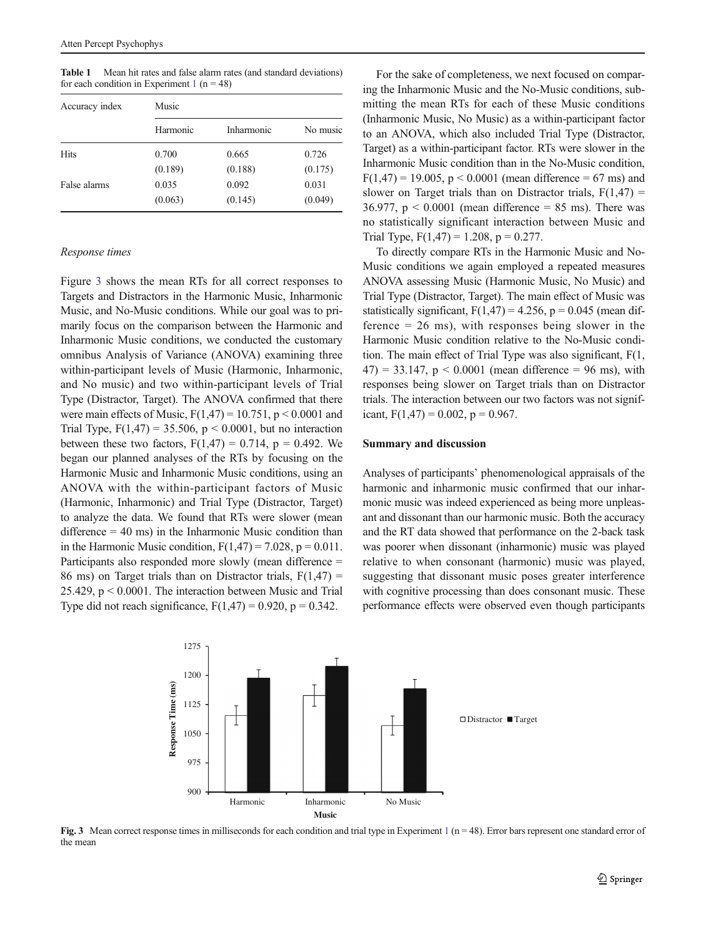| Accuracy index<br><b>Hits</b> | Music    |            |          |  |  |  |  |
|-------------------------------|----------|------------|----------|--|--|--|--|
|                               | Harmonic | Inharmonic | No music |  |  |  |  |
|                               | 0.700    | 0.665      | 0.726    |  |  |  |  |
|                               | (0.189)  | (0.188)    | (0.175)  |  |  |  |  |
| False alarms                  | 0.035    | 0.092      | 0.031    |  |  |  |  |
|                               | (0.063)  | (0.145)    | (0.049)  |  |  |  |  |

<span id="page-6-0"></span>Table 1 Mean hit rates and false alarm rates (and standard deviations) for each condition in Experiment [1](#page-3-0) ( $n = 48$ )

## Response times

Figure 3 shows the mean RTs for all correct responses to Targets and Distractors in the Harmonic Music, Inharmonic Music, and No-Music conditions. While our goal was to primarily focus on the comparison between the Harmonic and Inharmonic Music conditions, we conducted the customary omnibus Analysis of Variance (ANOVA) examining three within-participant levels of Music (Harmonic, Inharmonic, and No music) and two within-participant levels of Trial Type (Distractor, Target). The ANOVA confirmed that there were main effects of Music,  $F(1,47) = 10.751$ ,  $p \le 0.0001$  and Trial Type,  $F(1,47) = 35.506$ ,  $p < 0.0001$ , but no interaction between these two factors,  $F(1,47) = 0.714$ ,  $p = 0.492$ . We began our planned analyses of the RTs by focusing on the Harmonic Music and Inharmonic Music conditions, using an ANOVA with the within-participant factors of Music (Harmonic, Inharmonic) and Trial Type (Distractor, Target) to analyze the data. We found that RTs were slower (mean difference  $= 40$  ms) in the Inharmonic Music condition than in the Harmonic Music condition,  $F(1,47) = 7.028$ ,  $p = 0.011$ . Participants also responded more slowly (mean difference = 86 ms) on Target trials than on Distractor trials,  $F(1,47) =$ 25.429, p < 0.0001. The interaction between Music and Trial Type did not reach significance,  $F(1,47) = 0.920$ ,  $p = 0.342$ .

For the sake of completeness, we next focused on comparing the Inharmonic Music and the No-Music conditions, submitting the mean RTs for each of these Music conditions (Inharmonic Music, No Music) as a within-participant factor to an ANOVA, which also included Trial Type (Distractor, Target) as a within-participant factor. RTs were slower in the Inharmonic Music condition than in the No-Music condition,  $F(1,47) = 19.005$ ,  $p \le 0.0001$  (mean difference = 67 ms) and slower on Target trials than on Distractor trials,  $F(1,47) =$ 36.977,  $p < 0.0001$  (mean difference = 85 ms). There was no statistically significant interaction between Music and Trial Type,  $F(1,47) = 1.208$ ,  $p = 0.277$ .

To directly compare RTs in the Harmonic Music and No-Music conditions we again employed a repeated measures ANOVA assessing Music (Harmonic Music, No Music) and Trial Type (Distractor, Target). The main effect of Music was statistically significant,  $F(1,47) = 4.256$ ,  $p = 0.045$  (mean difference  $= 26$  ms), with responses being slower in the Harmonic Music condition relative to the No-Music condition. The main effect of Trial Type was also significant, F(1,  $47$ ) = 33.147, p < 0.0001 (mean difference = 96 ms), with responses being slower on Target trials than on Distractor trials. The interaction between our two factors was not significant,  $F(1,47) = 0.002$ ,  $p = 0.967$ .

## Summary and discussion

Analyses of participants' phenomenological appraisals of the harmonic and inharmonic music confirmed that our inharmonic music was indeed experienced as being more unpleasant and dissonant than our harmonic music. Both the accuracy and the RT data showed that performance on the 2-back task was poorer when dissonant (inharmonic) music was played relative to when consonant (harmonic) music was played, suggesting that dissonant music poses greater interference with cognitive processing than does consonant music. These performance effects were observed even though participants



Fig. 3 Mean correct response times in milliseconds for each condition and trial type in Experiment [1](#page-3-0) ( $n = 48$ ). Error bars represent one standard error of the mean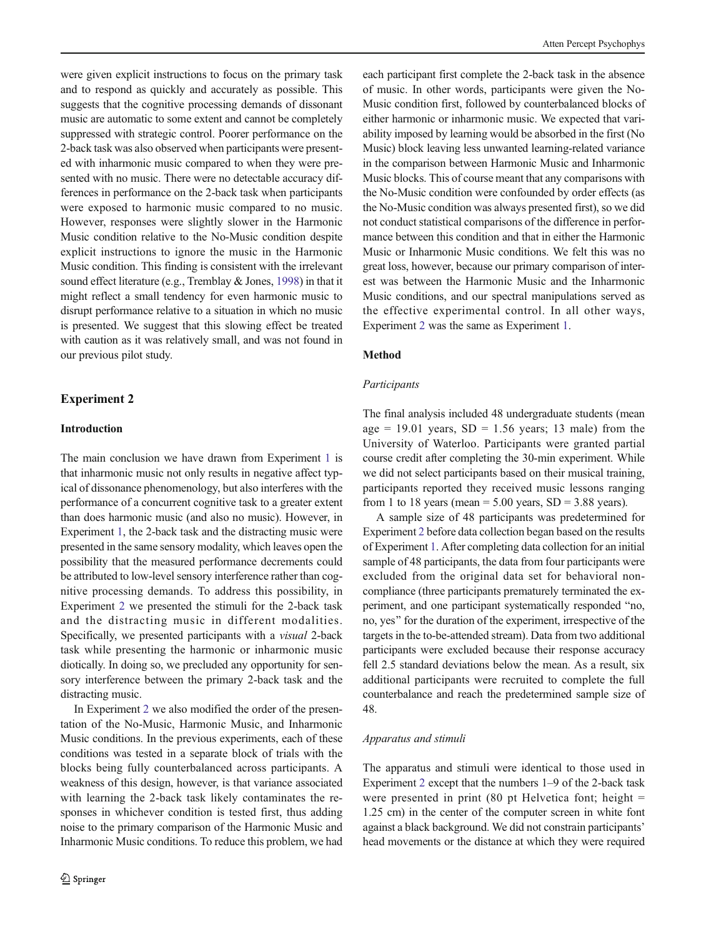<span id="page-7-0"></span>were given explicit instructions to focus on the primary task and to respond as quickly and accurately as possible. This suggests that the cognitive processing demands of dissonant music are automatic to some extent and cannot be completely suppressed with strategic control. Poorer performance on the 2-back task was also observed when participants were presented with inharmonic music compared to when they were presented with no music. There were no detectable accuracy differences in performance on the 2-back task when participants were exposed to harmonic music compared to no music. However, responses were slightly slower in the Harmonic Music condition relative to the No-Music condition despite explicit instructions to ignore the music in the Harmonic Music condition. This finding is consistent with the irrelevant sound effect literature (e.g., Tremblay & Jones, [1998\)](#page-13-0) in that it might reflect a small tendency for even harmonic music to disrupt performance relative to a situation in which no music is presented. We suggest that this slowing effect be treated with caution as it was relatively small, and was not found in our previous pilot study.

# Experiment 2

# Introduction

The main conclusion we have drawn from Experiment [1](#page-3-0) is that inharmonic music not only results in negative affect typical of dissonance phenomenology, but also interferes with the performance of a concurrent cognitive task to a greater extent than does harmonic music (and also no music). However, in Experiment [1,](#page-3-0) the 2-back task and the distracting music were presented in the same sensory modality, which leaves open the possibility that the measured performance decrements could be attributed to low-level sensory interference rather than cognitive processing demands. To address this possibility, in Experiment 2 we presented the stimuli for the 2-back task and the distracting music in different modalities. Specifically, we presented participants with a visual 2-back task while presenting the harmonic or inharmonic music diotically. In doing so, we precluded any opportunity for sensory interference between the primary 2-back task and the distracting music.

In Experiment 2 we also modified the order of the presentation of the No-Music, Harmonic Music, and Inharmonic Music conditions. In the previous experiments, each of these conditions was tested in a separate block of trials with the blocks being fully counterbalanced across participants. A weakness of this design, however, is that variance associated with learning the 2-back task likely contaminates the responses in whichever condition is tested first, thus adding noise to the primary comparison of the Harmonic Music and Inharmonic Music conditions. To reduce this problem, we had each participant first complete the 2-back task in the absence of music. In other words, participants were given the No-Music condition first, followed by counterbalanced blocks of either harmonic or inharmonic music. We expected that variability imposed by learning would be absorbed in the first (No Music) block leaving less unwanted learning-related variance in the comparison between Harmonic Music and Inharmonic Music blocks. This of course meant that any comparisons with the No-Music condition were confounded by order effects (as the No-Music condition was always presented first), so we did not conduct statistical comparisons of the difference in performance between this condition and that in either the Harmonic Music or Inharmonic Music conditions. We felt this was no great loss, however, because our primary comparison of interest was between the Harmonic Music and the Inharmonic Music conditions, and our spectral manipulations served as the effective experimental control. In all other ways, Experiment 2 was the same as Experiment [1.](#page-3-0)

## Method

#### Participants

The final analysis included 48 undergraduate students (mean age = 19.01 years,  $SD = 1.56$  years; 13 male) from the University of Waterloo. Participants were granted partial course credit after completing the 30-min experiment. While we did not select participants based on their musical training, participants reported they received music lessons ranging from 1 to 18 years (mean =  $5.00$  years, SD =  $3.88$  years).

A sample size of 48 participants was predetermined for Experiment 2 before data collection began based on the results of Experiment [1.](#page-3-0) After completing data collection for an initial sample of 48 participants, the data from four participants were excluded from the original data set for behavioral noncompliance (three participants prematurely terminated the experiment, and one participant systematically responded "no, no, yes" for the duration of the experiment, irrespective of the targets in the to-be-attended stream). Data from two additional participants were excluded because their response accuracy fell 2.5 standard deviations below the mean. As a result, six additional participants were recruited to complete the full counterbalance and reach the predetermined sample size of 48.

## Apparatus and stimuli

The apparatus and stimuli were identical to those used in Experiment 2 except that the numbers 1–9 of the 2-back task were presented in print  $(80 \text{ pt} \text{ Helvetica font}; \text{ height} =$ 1.25 cm) in the center of the computer screen in white font against a black background. We did not constrain participants' head movements or the distance at which they were required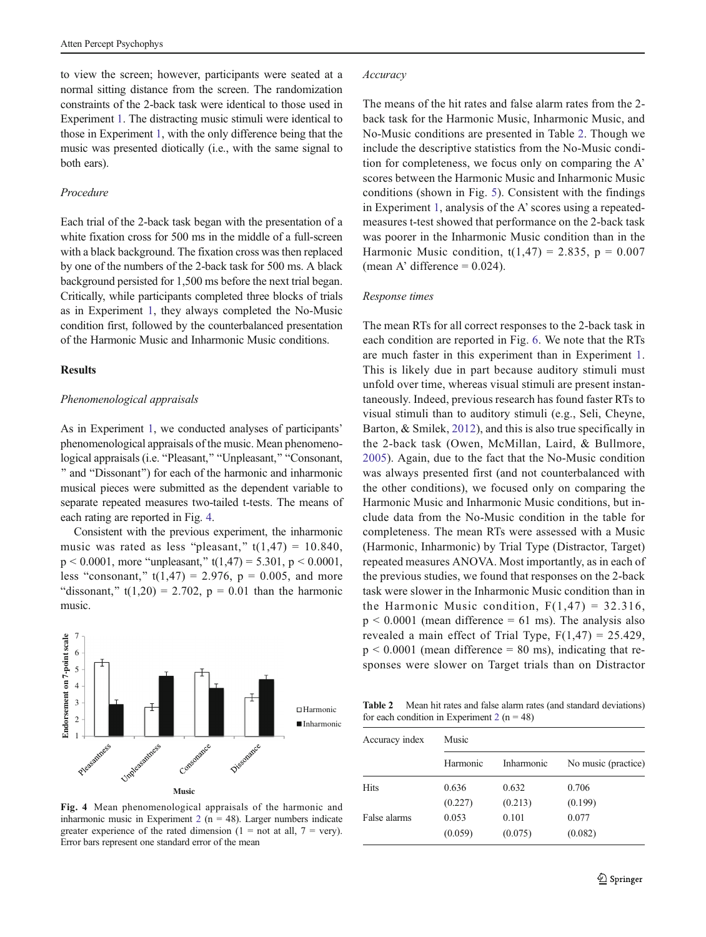to view the screen; however, participants were seated at a normal sitting distance from the screen. The randomization constraints of the 2-back task were identical to those used in Experiment [1.](#page-3-0) The distracting music stimuli were identical to those in Experiment [1](#page-3-0), with the only difference being that the music was presented diotically (i.e., with the same signal to both ears).

## Procedure

Each trial of the 2-back task began with the presentation of a white fixation cross for 500 ms in the middle of a full-screen with a black background. The fixation cross was then replaced by one of the numbers of the 2-back task for 500 ms. A black background persisted for 1,500 ms before the next trial began. Critically, while participants completed three blocks of trials as in Experiment [1](#page-3-0), they always completed the No-Music condition first, followed by the counterbalanced presentation of the Harmonic Music and Inharmonic Music conditions.

# **Results**

# Phenomenological appraisals

As in Experiment [1,](#page-3-0) we conducted analyses of participants' phenomenological appraisals of the music. Mean phenomenological appraisals (i.e. "Pleasant," "Unpleasant," "Consonant, " and "Dissonant") for each of the harmonic and inharmonic musical pieces were submitted as the dependent variable to separate repeated measures two-tailed t-tests. The means of each rating are reported in Fig. 4.

Consistent with the previous experiment, the inharmonic music was rated as less "pleasant,"  $t(1,47) = 10.840$ ,  $p < 0.0001$ , more "unpleasant," t(1,47) = 5.301, p < 0.0001, less "consonant,"  $t(1,47) = 2.976$ ,  $p = 0.005$ , and more "dissonant,"  $t(1,20) = 2.702$ ,  $p = 0.01$  than the harmonic music.



Fig. 4 Mean phenomenological appraisals of the harmonic and inharmonic music in Experiment [2](#page-7-0) ( $n = 48$ ). Larger numbers indicate greater experience of the rated dimension (1 = not at all, 7 = very). Error bars represent one standard error of the mean

#### Accuracy

The means of the hit rates and false alarm rates from the 2 back task for the Harmonic Music, Inharmonic Music, and No-Music conditions are presented in Table 2. Though we include the descriptive statistics from the No-Music condition for completeness, we focus only on comparing the A' scores between the Harmonic Music and Inharmonic Music conditions (shown in Fig. [5\)](#page-9-0). Consistent with the findings in Experiment [1,](#page-3-0) analysis of the A' scores using a repeatedmeasures t-test showed that performance on the 2-back task was poorer in the Inharmonic Music condition than in the Harmonic Music condition,  $t(1,47) = 2.835$ ,  $p = 0.007$ (mean A' difference  $= 0.024$ ).

## Response times

The mean RTs for all correct responses to the 2-back task in each condition are reported in Fig. [6](#page-9-0). We note that the RTs are much faster in this experiment than in Experiment [1.](#page-3-0) This is likely due in part because auditory stimuli must unfold over time, whereas visual stimuli are present instantaneously. Indeed, previous research has found faster RTs to visual stimuli than to auditory stimuli (e.g., Seli, Cheyne, Barton, & Smilek, [2012\)](#page-13-0), and this is also true specifically in the 2-back task (Owen, McMillan, Laird, & Bullmore, [2005](#page-13-0)). Again, due to the fact that the No-Music condition was always presented first (and not counterbalanced with the other conditions), we focused only on comparing the Harmonic Music and Inharmonic Music conditions, but include data from the No-Music condition in the table for completeness. The mean RTs were assessed with a Music (Harmonic, Inharmonic) by Trial Type (Distractor, Target) repeated measures ANOVA. Most importantly, as in each of the previous studies, we found that responses on the 2-back task were slower in the Inharmonic Music condition than in the Harmonic Music condition,  $F(1,47) = 32.316$ ,  $p \le 0.0001$  (mean difference = 61 ms). The analysis also revealed a main effect of Trial Type,  $F(1,47) = 25.429$ ,  $p \le 0.0001$  (mean difference = 80 ms), indicating that responses were slower on Target trials than on Distractor

Table 2 Mean hit rates and false alarm rates (and standard deviations) for each condition in Experiment [2](#page-7-0) ( $n = 48$ )

| Accuracy index | Music    |            |                     |  |  |
|----------------|----------|------------|---------------------|--|--|
|                | Harmonic | Inharmonic | No music (practice) |  |  |
| <b>Hits</b>    | 0.636    | 0.632      | 0.706               |  |  |
|                | (0.227)  | (0.213)    | (0.199)             |  |  |
| False alarms   | 0.053    | 0.101      | 0.077               |  |  |
|                | (0.059)  | (0.075)    | (0.082)             |  |  |
|                |          |            |                     |  |  |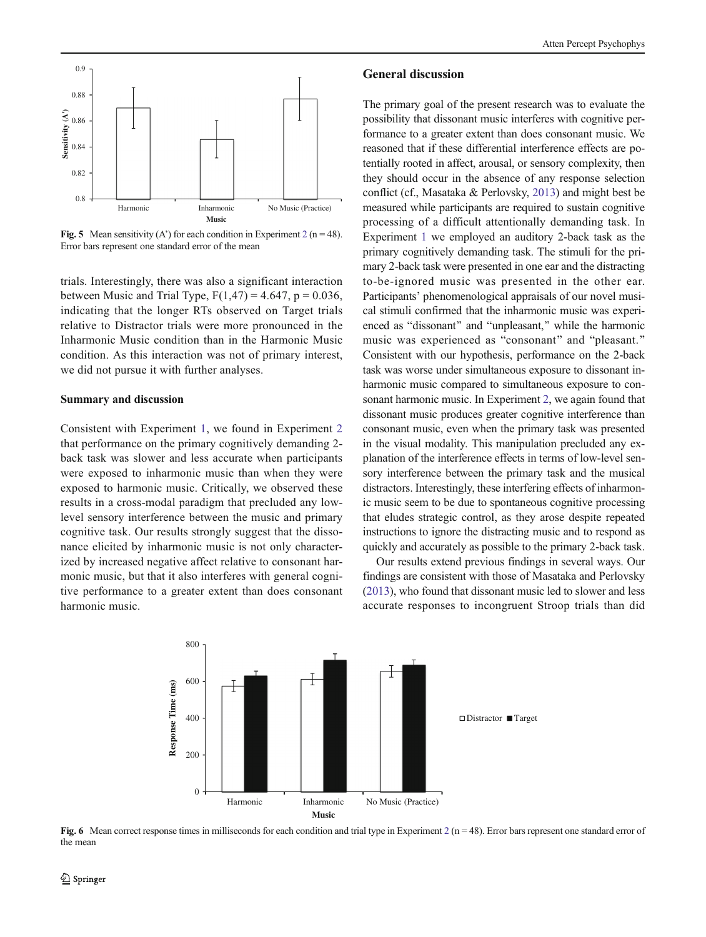<span id="page-9-0"></span>

Fig. 5 Mean sensitivity (A') for each condition in Experiment [2](#page-7-0) (n = 48). Error bars represent one standard error of the mean

trials. Interestingly, there was also a significant interaction between Music and Trial Type,  $F(1,47) = 4.647$ ,  $p = 0.036$ , indicating that the longer RTs observed on Target trials relative to Distractor trials were more pronounced in the Inharmonic Music condition than in the Harmonic Music condition. As this interaction was not of primary interest, we did not pursue it with further analyses.

# Summary and discussion

Consistent with Experiment [1](#page-3-0), we found in Experiment [2](#page-7-0) that performance on the primary cognitively demanding 2 back task was slower and less accurate when participants were exposed to inharmonic music than when they were exposed to harmonic music. Critically, we observed these results in a cross-modal paradigm that precluded any lowlevel sensory interference between the music and primary cognitive task. Our results strongly suggest that the dissonance elicited by inharmonic music is not only characterized by increased negative affect relative to consonant harmonic music, but that it also interferes with general cognitive performance to a greater extent than does consonant harmonic music.

## General discussion

The primary goal of the present research was to evaluate the possibility that dissonant music interferes with cognitive performance to a greater extent than does consonant music. We reasoned that if these differential interference effects are potentially rooted in affect, arousal, or sensory complexity, then they should occur in the absence of any response selection conflict (cf., Masataka & Perlovsky, [2013\)](#page-13-0) and might best be measured while participants are required to sustain cognitive processing of a difficult attentionally demanding task. In Experiment [1](#page-3-0) we employed an auditory 2-back task as the primary cognitively demanding task. The stimuli for the primary 2-back task were presented in one ear and the distracting to-be-ignored music was presented in the other ear. Participants' phenomenological appraisals of our novel musical stimuli confirmed that the inharmonic music was experienced as "dissonant" and "unpleasant," while the harmonic music was experienced as "consonant" and "pleasant." Consistent with our hypothesis, performance on the 2-back task was worse under simultaneous exposure to dissonant inharmonic music compared to simultaneous exposure to con-sonant harmonic music. In Experiment [2](#page-7-0), we again found that dissonant music produces greater cognitive interference than consonant music, even when the primary task was presented in the visual modality. This manipulation precluded any explanation of the interference effects in terms of low-level sensory interference between the primary task and the musical distractors. Interestingly, these interfering effects of inharmonic music seem to be due to spontaneous cognitive processing that eludes strategic control, as they arose despite repeated instructions to ignore the distracting music and to respond as quickly and accurately as possible to the primary 2-back task.

Our results extend previous findings in several ways. Our findings are consistent with those of Masataka and Perlovsky [\(2013\)](#page-13-0), who found that dissonant music led to slower and less accurate responses to incongruent Stroop trials than did



Fig. 6 Mean correct response times in milliseconds for each condition and trial type in Experiment [2](#page-7-0) (n = 48). Error bars represent one standard error of the mean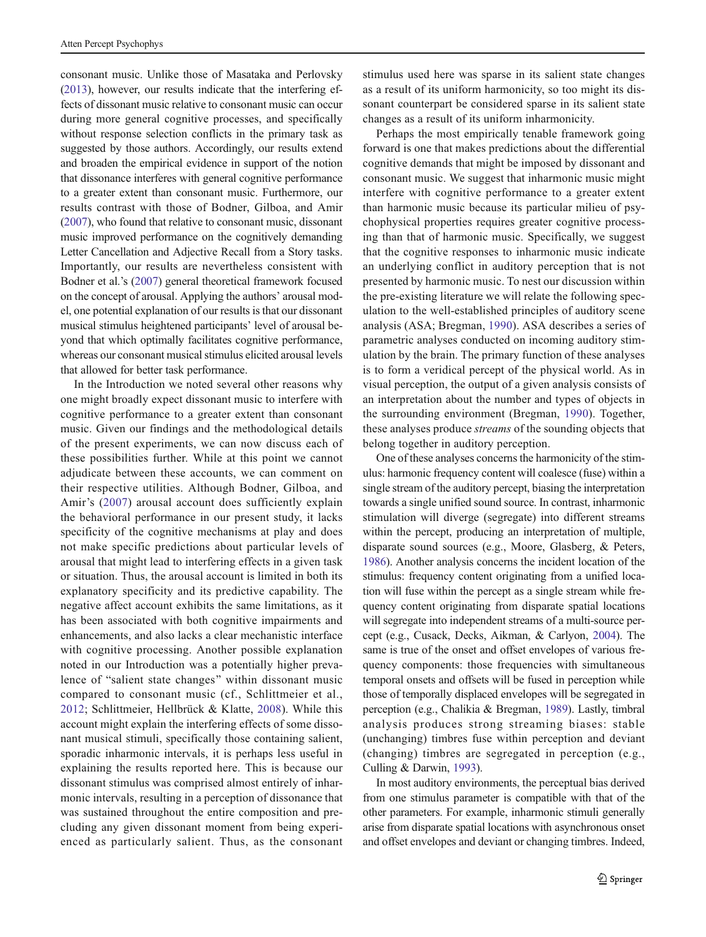consonant music. Unlike those of Masataka and Perlovsky [\(2013\)](#page-13-0), however, our results indicate that the interfering effects of dissonant music relative to consonant music can occur during more general cognitive processes, and specifically without response selection conflicts in the primary task as suggested by those authors. Accordingly, our results extend and broaden the empirical evidence in support of the notion that dissonance interferes with general cognitive performance to a greater extent than consonant music. Furthermore, our results contrast with those of Bodner, Gilboa, and Amir [\(2007\)](#page-12-0), who found that relative to consonant music, dissonant music improved performance on the cognitively demanding Letter Cancellation and Adjective Recall from a Story tasks. Importantly, our results are nevertheless consistent with Bodner et al.'s ([2007](#page-12-0)) general theoretical framework focused on the concept of arousal. Applying the authors' arousal model, one potential explanation of our results is that our dissonant musical stimulus heightened participants' level of arousal beyond that which optimally facilitates cognitive performance, whereas our consonant musical stimulus elicited arousal levels that allowed for better task performance.

In the Introduction we noted several other reasons why one might broadly expect dissonant music to interfere with cognitive performance to a greater extent than consonant music. Given our findings and the methodological details of the present experiments, we can now discuss each of these possibilities further. While at this point we cannot adjudicate between these accounts, we can comment on their respective utilities. Although Bodner, Gilboa, and Amir's ([2007\)](#page-12-0) arousal account does sufficiently explain the behavioral performance in our present study, it lacks specificity of the cognitive mechanisms at play and does not make specific predictions about particular levels of arousal that might lead to interfering effects in a given task or situation. Thus, the arousal account is limited in both its explanatory specificity and its predictive capability. The negative affect account exhibits the same limitations, as it has been associated with both cognitive impairments and enhancements, and also lacks a clear mechanistic interface with cognitive processing. Another possible explanation noted in our Introduction was a potentially higher prevalence of "salient state changes" within dissonant music compared to consonant music (cf., Schlittmeier et al., [2012](#page-13-0); Schlittmeier, Hellbrück & Klatte, [2008\)](#page-13-0). While this account might explain the interfering effects of some dissonant musical stimuli, specifically those containing salient, sporadic inharmonic intervals, it is perhaps less useful in explaining the results reported here. This is because our dissonant stimulus was comprised almost entirely of inharmonic intervals, resulting in a perception of dissonance that was sustained throughout the entire composition and precluding any given dissonant moment from being experienced as particularly salient. Thus, as the consonant

stimulus used here was sparse in its salient state changes as a result of its uniform harmonicity, so too might its dissonant counterpart be considered sparse in its salient state changes as a result of its uniform inharmonicity.

Perhaps the most empirically tenable framework going forward is one that makes predictions about the differential cognitive demands that might be imposed by dissonant and consonant music. We suggest that inharmonic music might interfere with cognitive performance to a greater extent than harmonic music because its particular milieu of psychophysical properties requires greater cognitive processing than that of harmonic music. Specifically, we suggest that the cognitive responses to inharmonic music indicate an underlying conflict in auditory perception that is not presented by harmonic music. To nest our discussion within the pre-existing literature we will relate the following speculation to the well-established principles of auditory scene analysis (ASA; Bregman, [1990](#page-12-0)). ASA describes a series of parametric analyses conducted on incoming auditory stimulation by the brain. The primary function of these analyses is to form a veridical percept of the physical world. As in visual perception, the output of a given analysis consists of an interpretation about the number and types of objects in the surrounding environment (Bregman, [1990\)](#page-12-0). Together, these analyses produce streams of the sounding objects that belong together in auditory perception.

One of these analyses concerns the harmonicity of the stimulus: harmonic frequency content will coalesce (fuse) within a single stream of the auditory percept, biasing the interpretation towards a single unified sound source. In contrast, inharmonic stimulation will diverge (segregate) into different streams within the percept, producing an interpretation of multiple, disparate sound sources (e.g., Moore, Glasberg, & Peters, [1986\)](#page-13-0). Another analysis concerns the incident location of the stimulus: frequency content originating from a unified location will fuse within the percept as a single stream while frequency content originating from disparate spatial locations will segregate into independent streams of a multi-source percept (e.g., Cusack, Decks, Aikman, & Carlyon, [2004\)](#page-12-0). The same is true of the onset and offset envelopes of various frequency components: those frequencies with simultaneous temporal onsets and offsets will be fused in perception while those of temporally displaced envelopes will be segregated in perception (e.g., Chalikia & Bregman, [1989](#page-12-0)). Lastly, timbral analysis produces strong streaming biases: stable (unchanging) timbres fuse within perception and deviant (changing) timbres are segregated in perception (e.g., Culling & Darwin, [1993\)](#page-12-0).

In most auditory environments, the perceptual bias derived from one stimulus parameter is compatible with that of the other parameters. For example, inharmonic stimuli generally arise from disparate spatial locations with asynchronous onset and offset envelopes and deviant or changing timbres. Indeed,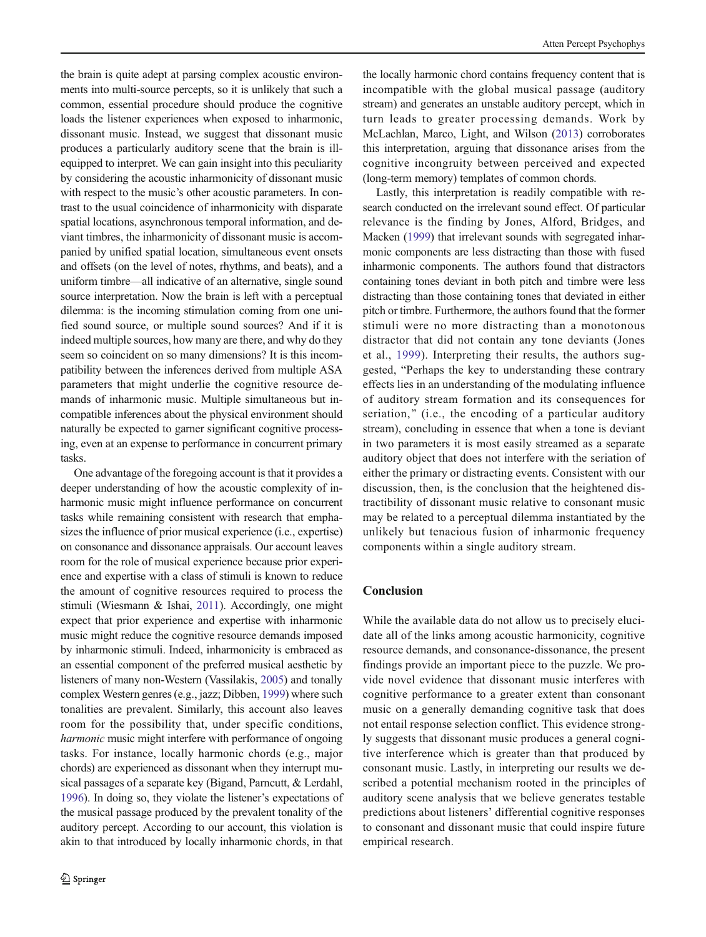the brain is quite adept at parsing complex acoustic environments into multi-source percepts, so it is unlikely that such a common, essential procedure should produce the cognitive loads the listener experiences when exposed to inharmonic, dissonant music. Instead, we suggest that dissonant music produces a particularly auditory scene that the brain is illequipped to interpret. We can gain insight into this peculiarity by considering the acoustic inharmonicity of dissonant music with respect to the music's other acoustic parameters. In contrast to the usual coincidence of inharmonicity with disparate spatial locations, asynchronous temporal information, and deviant timbres, the inharmonicity of dissonant music is accompanied by unified spatial location, simultaneous event onsets and offsets (on the level of notes, rhythms, and beats), and a uniform timbre—all indicative of an alternative, single sound source interpretation. Now the brain is left with a perceptual dilemma: is the incoming stimulation coming from one unified sound source, or multiple sound sources? And if it is indeed multiple sources, how many are there, and why do they seem so coincident on so many dimensions? It is this incompatibility between the inferences derived from multiple ASA parameters that might underlie the cognitive resource demands of inharmonic music. Multiple simultaneous but incompatible inferences about the physical environment should naturally be expected to garner significant cognitive processing, even at an expense to performance in concurrent primary tasks.

One advantage of the foregoing account is that it provides a deeper understanding of how the acoustic complexity of inharmonic music might influence performance on concurrent tasks while remaining consistent with research that emphasizes the influence of prior musical experience (i.e., expertise) on consonance and dissonance appraisals. Our account leaves room for the role of musical experience because prior experience and expertise with a class of stimuli is known to reduce the amount of cognitive resources required to process the stimuli (Wiesmann & Ishai, [2011](#page-13-0)). Accordingly, one might expect that prior experience and expertise with inharmonic music might reduce the cognitive resource demands imposed by inharmonic stimuli. Indeed, inharmonicity is embraced as an essential component of the preferred musical aesthetic by listeners of many non-Western (Vassilakis, [2005](#page-13-0)) and tonally complex Western genres (e.g., jazz; Dibben, [1999\)](#page-12-0) where such tonalities are prevalent. Similarly, this account also leaves room for the possibility that, under specific conditions, harmonic music might interfere with performance of ongoing tasks. For instance, locally harmonic chords (e.g., major chords) are experienced as dissonant when they interrupt musical passages of a separate key (Bigand, Parncutt, & Lerdahl, [1996\)](#page-12-0). In doing so, they violate the listener's expectations of the musical passage produced by the prevalent tonality of the auditory percept. According to our account, this violation is akin to that introduced by locally inharmonic chords, in that

the locally harmonic chord contains frequency content that is incompatible with the global musical passage (auditory stream) and generates an unstable auditory percept, which in turn leads to greater processing demands. Work by McLachlan, Marco, Light, and Wilson ([2013\)](#page-13-0) corroborates this interpretation, arguing that dissonance arises from the cognitive incongruity between perceived and expected (long-term memory) templates of common chords.

Lastly, this interpretation is readily compatible with research conducted on the irrelevant sound effect. Of particular relevance is the finding by Jones, Alford, Bridges, and Macken ([1999](#page-13-0)) that irrelevant sounds with segregated inharmonic components are less distracting than those with fused inharmonic components. The authors found that distractors containing tones deviant in both pitch and timbre were less distracting than those containing tones that deviated in either pitch or timbre. Furthermore, the authors found that the former stimuli were no more distracting than a monotonous distractor that did not contain any tone deviants (Jones et al., [1999](#page-13-0)). Interpreting their results, the authors suggested, "Perhaps the key to understanding these contrary effects lies in an understanding of the modulating influence of auditory stream formation and its consequences for seriation," (i.e., the encoding of a particular auditory stream), concluding in essence that when a tone is deviant in two parameters it is most easily streamed as a separate auditory object that does not interfere with the seriation of either the primary or distracting events. Consistent with our discussion, then, is the conclusion that the heightened distractibility of dissonant music relative to consonant music may be related to a perceptual dilemma instantiated by the unlikely but tenacious fusion of inharmonic frequency components within a single auditory stream.

# Conclusion

While the available data do not allow us to precisely elucidate all of the links among acoustic harmonicity, cognitive resource demands, and consonance-dissonance, the present findings provide an important piece to the puzzle. We provide novel evidence that dissonant music interferes with cognitive performance to a greater extent than consonant music on a generally demanding cognitive task that does not entail response selection conflict. This evidence strongly suggests that dissonant music produces a general cognitive interference which is greater than that produced by consonant music. Lastly, in interpreting our results we described a potential mechanism rooted in the principles of auditory scene analysis that we believe generates testable predictions about listeners' differential cognitive responses to consonant and dissonant music that could inspire future empirical research.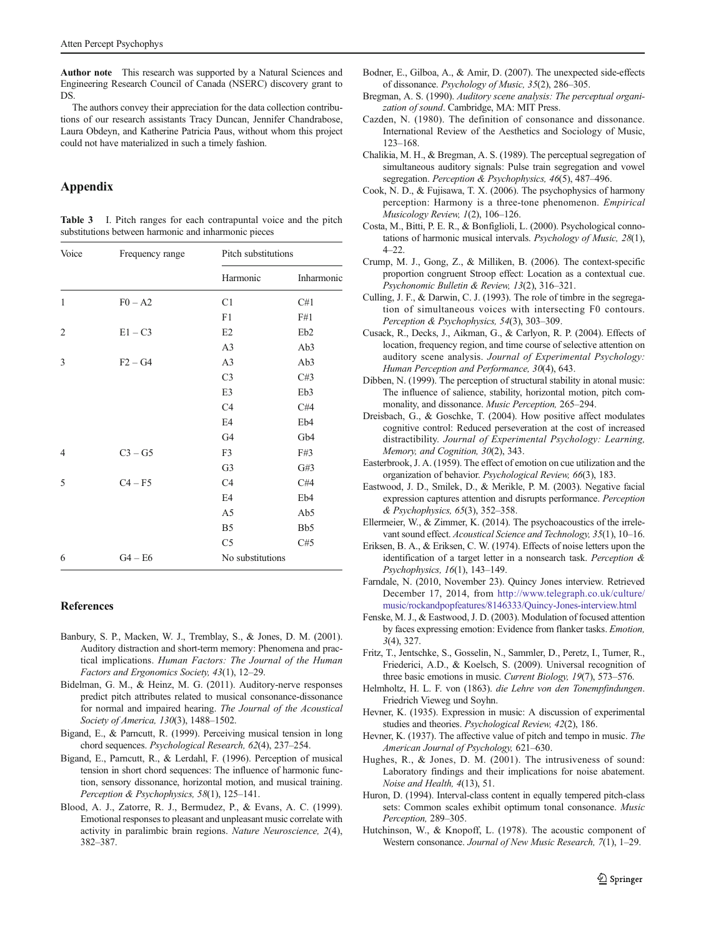<span id="page-12-0"></span>Author note This research was supported by a Natural Sciences and Engineering Research Council of Canada (NSERC) discovery grant to DS.

The authors convey their appreciation for the data collection contributions of our research assistants Tracy Duncan, Jennifer Chandrabose, Laura Obdeyn, and Katherine Patricia Paus, without whom this project could not have materialized in such a timely fashion.

# Appendix

| <b>Table 3</b> I. Pitch ranges for each contrapuntal voice and the pitch |  |  |  |  |  |
|--------------------------------------------------------------------------|--|--|--|--|--|
| substitutions between harmonic and inharmonic pieces                     |  |  |  |  |  |

| Voice        | Frequency range | Pitch substitutions |                 |  |  |  |
|--------------|-----------------|---------------------|-----------------|--|--|--|
|              |                 | Harmonic            | Inharmonic      |  |  |  |
| $\mathbf{1}$ | $F0 - A2$       | C1                  | C#1             |  |  |  |
|              |                 | F1                  | F#1             |  |  |  |
| 2            | $E1 - C3$       | E <sub>2</sub>      | Eb <sub>2</sub> |  |  |  |
|              |                 | A <sub>3</sub>      | Ab <sub>3</sub> |  |  |  |
| 3            | $F2 - G4$       | A3                  | Ab <sub>3</sub> |  |  |  |
|              |                 | C <sub>3</sub>      | C#3             |  |  |  |
|              |                 | E3                  | Eb <sub>3</sub> |  |  |  |
|              |                 | C4                  | C#4             |  |  |  |
|              |                 | E4                  | Eb <sub>4</sub> |  |  |  |
|              |                 | G <sub>4</sub>      | Gb <sub>4</sub> |  |  |  |
| 4            | $C3 - G5$       | F3                  | F#3             |  |  |  |
|              |                 | G <sub>3</sub>      | G#3             |  |  |  |
| 5            | $C4 - F5$       | C4                  | C#4             |  |  |  |
|              |                 | E4                  | Eb <sub>4</sub> |  |  |  |
|              |                 | A5                  | Ab5             |  |  |  |
|              |                 | B <sub>5</sub>      | Bb5             |  |  |  |
|              |                 | C <sub>5</sub>      | C#5             |  |  |  |
| 6            | $G4 - E6$       | No substitutions    |                 |  |  |  |

## References

- Banbury, S. P., Macken, W. J., Tremblay, S., & Jones, D. M. (2001). Auditory distraction and short-term memory: Phenomena and practical implications. Human Factors: The Journal of the Human Factors and Ergonomics Society, 43(1), 12–29.
- Bidelman, G. M., & Heinz, M. G. (2011). Auditory-nerve responses predict pitch attributes related to musical consonance-dissonance for normal and impaired hearing. The Journal of the Acoustical Society of America, 130(3), 1488-1502.
- Bigand, E., & Parncutt, R. (1999). Perceiving musical tension in long chord sequences. Psychological Research, 62(4), 237–254.
- Bigand, E., Parncutt, R., & Lerdahl, F. (1996). Perception of musical tension in short chord sequences: The influence of harmonic function, sensory dissonance, horizontal motion, and musical training. Perception & Psychophysics, 58(1), 125–141.
- Blood, A. J., Zatorre, R. J., Bermudez, P., & Evans, A. C. (1999). Emotional responses to pleasant and unpleasant music correlate with activity in paralimbic brain regions. Nature Neuroscience, 2(4), 382–387.
- Bodner, E., Gilboa, A., & Amir, D. (2007). The unexpected side-effects of dissonance. Psychology of Music, 35(2), 286–305.
- Bregman, A. S. (1990). Auditory scene analysis: The perceptual organization of sound. Cambridge, MA: MIT Press.
- Cazden, N. (1980). The definition of consonance and dissonance. International Review of the Aesthetics and Sociology of Music, 123–168.
- Chalikia, M. H., & Bregman, A. S. (1989). The perceptual segregation of simultaneous auditory signals: Pulse train segregation and vowel segregation. Perception & Psychophysics, 46(5), 487-496.
- Cook, N. D., & Fujisawa, T. X. (2006). The psychophysics of harmony perception: Harmony is a three-tone phenomenon. Empirical Musicology Review, 1(2), 106–126.
- Costa, M., Bitti, P. E. R., & Bonfiglioli, L. (2000). Psychological connotations of harmonic musical intervals. Psychology of Music, 28(1),  $4 - 22$
- Crump, M. J., Gong, Z., & Milliken, B. (2006). The context-specific proportion congruent Stroop effect: Location as a contextual cue. Psychonomic Bulletin & Review, 13(2), 316–321.
- Culling, J. F., & Darwin, C. J. (1993). The role of timbre in the segregation of simultaneous voices with intersecting F0 contours. Perception & Psychophysics, 54(3), 303–309.
- Cusack, R., Decks, J., Aikman, G., & Carlyon, R. P. (2004). Effects of location, frequency region, and time course of selective attention on auditory scene analysis. Journal of Experimental Psychology: Human Perception and Performance, 30(4), 643.
- Dibben, N. (1999). The perception of structural stability in atonal music: The influence of salience, stability, horizontal motion, pitch commonality, and dissonance. Music Perception, 265–294.
- Dreisbach, G., & Goschke, T. (2004). How positive affect modulates cognitive control: Reduced perseveration at the cost of increased distractibility. Journal of Experimental Psychology: Learning, Memory, and Cognition, 30(2), 343.
- Easterbrook, J. A. (1959). The effect of emotion on cue utilization and the organization of behavior. Psychological Review, 66(3), 183.
- Eastwood, J. D., Smilek, D., & Merikle, P. M. (2003). Negative facial expression captures attention and disrupts performance. Perception & Psychophysics, 65(3), 352–358.
- Ellermeier, W., & Zimmer, K. (2014). The psychoacoustics of the irrelevant sound effect. Acoustical Science and Technology, 35(1), 10–16.
- Eriksen, B. A., & Eriksen, C. W. (1974). Effects of noise letters upon the identification of a target letter in a nonsearch task. Perception & Psychophysics, 16(1), 143–149.
- Farndale, N. (2010, November 23). Quincy Jones interview. Retrieved December 17, 2014, from [http://www.telegraph.co.uk/culture/](http://www.telegraph.co.uk/culture/music/rockandpopfeatures/8146333/Quincy-Jones-interview.html) [music/rockandpopfeatures/8146333/Quincy-Jones-interview.html](http://www.telegraph.co.uk/culture/music/rockandpopfeatures/8146333/Quincy-Jones-interview.html)
- Fenske, M. J., & Eastwood, J. D. (2003). Modulation of focused attention by faces expressing emotion: Evidence from flanker tasks. Emotion, 3(4), 327.
- Fritz, T., Jentschke, S., Gosselin, N., Sammler, D., Peretz, I., Turner, R., Friederici, A.D., & Koelsch, S. (2009). Universal recognition of three basic emotions in music. Current Biology, 19(7), 573–576.
- Helmholtz, H. L. F. von (1863). die Lehre von den Tonempfindungen. Friedrich Vieweg und Soyhn.
- Hevner, K. (1935). Expression in music: A discussion of experimental studies and theories. Psychological Review, 42(2), 186.
- Hevner, K. (1937). The affective value of pitch and tempo in music. The American Journal of Psychology, 621–630.
- Hughes, R., & Jones, D. M. (2001). The intrusiveness of sound: Laboratory findings and their implications for noise abatement. Noise and Health, 4(13), 51.
- Huron, D. (1994). Interval-class content in equally tempered pitch-class sets: Common scales exhibit optimum tonal consonance. Music Perception, 289–305.
- Hutchinson, W., & Knopoff, L. (1978). The acoustic component of Western consonance. Journal of New Music Research, 7(1), 1–29.